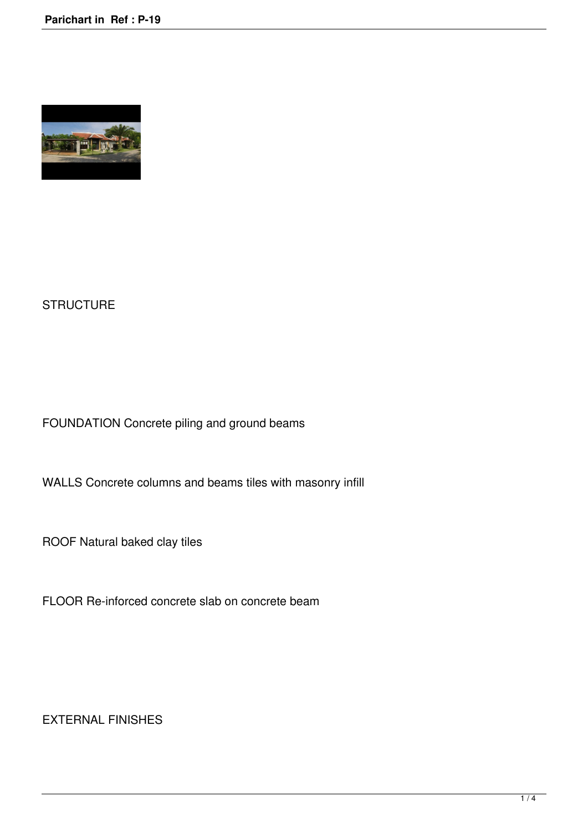

## **STRUCTURE**

FOUNDATION Concrete piling and ground beams

WALLS Concrete columns and beams tiles with masonry infill

ROOF Natural baked clay tiles

FLOOR Re-inforced concrete slab on concrete beam

EXTERNAL FINISHES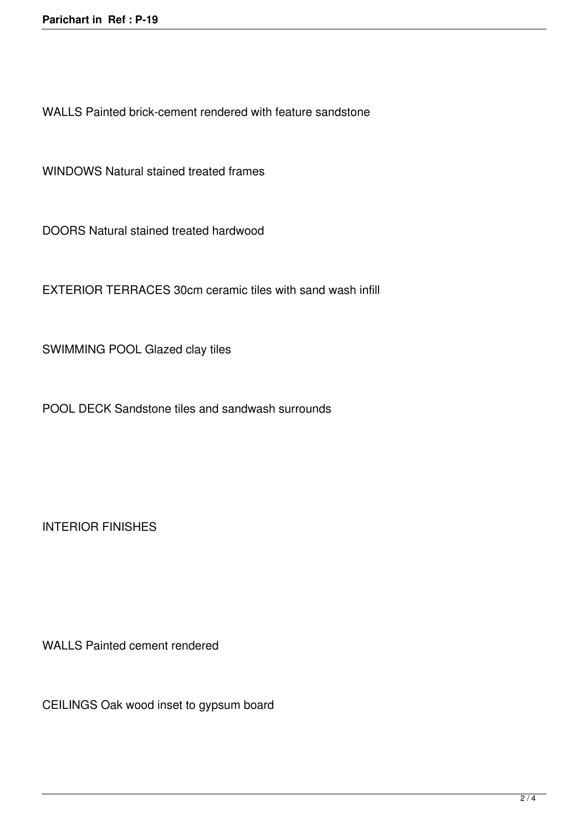WALLS Painted brick-cement rendered with feature sandstone

WINDOWS Natural stained treated frames

DOORS Natural stained treated hardwood

EXTERIOR TERRACES 30cm ceramic tiles with sand wash infill

SWIMMING POOL Glazed clay tiles

POOL DECK Sandstone tiles and sandwash surrounds

INTERIOR FINISHES

WALLS Painted cement rendered

CEILINGS Oak wood inset to gypsum board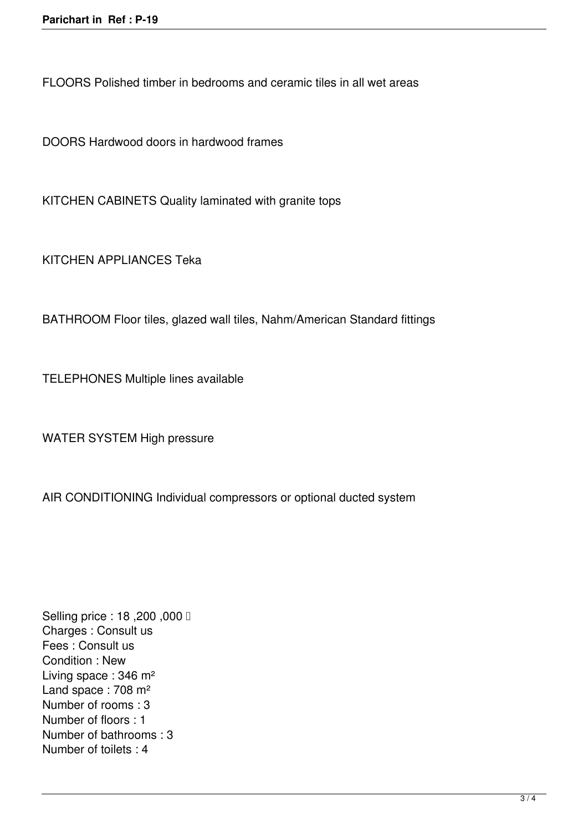FLOORS Polished timber in bedrooms and ceramic tiles in all wet areas

DOORS Hardwood doors in hardwood frames

KITCHEN CABINETS Quality laminated with granite tops

KITCHEN APPLIANCES Teka

BATHROOM Floor tiles, glazed wall tiles, Nahm/American Standard fittings

TELEPHONES Multiple lines available

WATER SYSTEM High pressure

AIR CONDITIONING Individual compressors or optional ducted system

Selling price : 18,200,000 **□** Charges : Consult us Fees : Consult us Condition : New Living space : 346 m² Land space : 708 m<sup>2</sup> Number of rooms : 3 Number of floors : 1 Number of bathrooms : 3 Number of toilets : 4